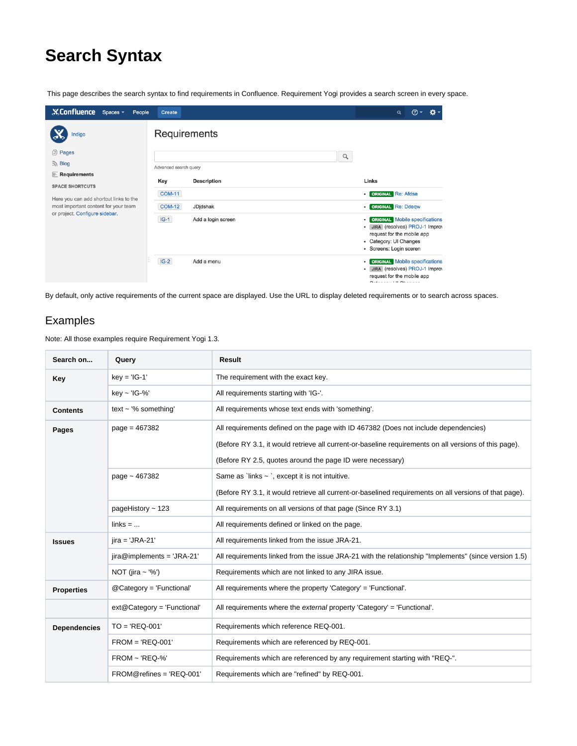# **Search Syntax**

This page describes the search syntax to find requirements in Confluence. Requirement Yogi provides a search screen in every space.

| <b>XConfluence</b><br>Spaces -<br>People                                                      | <b>Create</b>                | ⊚ -<br>Q                                                                                                                                                                    |
|-----------------------------------------------------------------------------------------------|------------------------------|-----------------------------------------------------------------------------------------------------------------------------------------------------------------------------|
| Indigo                                                                                        | Requirements                 |                                                                                                                                                                             |
| <b>③ Pages</b>                                                                                | $\hbox{\tt Q}$               |                                                                                                                                                                             |
| $\mathbb{R}$ Blog                                                                             | Advanced search query        |                                                                                                                                                                             |
| $\mathbb{R}$ Requirements<br><b>SPACE SHORTCUTS</b><br>Here you can add shortcut links to the | <b>Description</b><br>Key    | Links                                                                                                                                                                       |
|                                                                                               |                              |                                                                                                                                                                             |
|                                                                                               | <b>COM-11</b>                | <b>ORIGINAL</b> Re: Afdsa<br>٠                                                                                                                                              |
| most important content for your team                                                          | <b>COM-12</b><br>JDjdshak    | <b>ORIGINAL</b> Re: Ddeqw<br>۰                                                                                                                                              |
| or project. Configure sidebar.                                                                | $IG-1$<br>Add a login screen | <b>ORIGINAL</b> Mobile specifications<br>$\bullet$<br>JIRA (resolves) PROJ-1 Improv<br>٠<br>request for the mobile app<br>• Category: UI Changes<br>· Screens: Login sceren |
|                                                                                               | $IG-2$<br>Add a menu         | <b>ORIGINAL</b> Mobile specifications<br>۰<br>JIRA (resolves) PROJ-1 Improv<br>٠<br>request for the mobile app<br>$O - 1$                                                   |

By default, only active requirements of the current space are displayed. Use the URL to display deleted requirements or to search across spaces.

#### Examples

Note: All those examples require Requirement Yogi 1.3.

| Search on           | Query                        | <b>Result</b>                                                                                          |
|---------------------|------------------------------|--------------------------------------------------------------------------------------------------------|
| Key                 | $key = 'IG-1'$               | The requirement with the exact key.                                                                    |
|                     | $key$ ~ 'IG-%'               | All requirements starting with 'IG-'.                                                                  |
| <b>Contents</b>     | text $\sim$ '% something'    | All requirements whose text ends with 'something'.                                                     |
| Pages               | page = 467382                | All requirements defined on the page with ID 467382 (Does not include dependencies)                    |
|                     |                              | (Before RY 3.1, it would retrieve all current-or-baseline requirements on all versions of this page).  |
|                     |                              | (Before RY 2.5, quotes around the page ID were necessary)                                              |
|                     | page $\sim$ 467382           | Same as `links $\sim$ `, except it is not intuitive.                                                   |
|                     |                              | (Before RY 3.1, it would retrieve all current-or-baselined requirements on all versions of that page). |
|                     | pageHistory $\sim$ 123       | All requirements on all versions of that page (Since RY 3.1)                                           |
|                     | $links = $                   | All requirements defined or linked on the page.                                                        |
| <b>Issues</b>       | $jira = 'JRA-21'$            | All requirements linked from the issue JRA-21.                                                         |
|                     | $jira@implements = 'JRA-21'$ | All requirements linked from the issue JRA-21 with the relationship "Implements" (since version 1.5)   |
|                     | NOT (jira ~ '%')             | Requirements which are not linked to any JIRA issue.                                                   |
| <b>Properties</b>   | @Category = 'Functional'     | All requirements where the property 'Category' = 'Functional'.                                         |
|                     | ext@Category = 'Functional'  | All requirements where the external property 'Category' = 'Functional'.                                |
| <b>Dependencies</b> | $TO = 'REQ-001'$             | Requirements which reference REQ-001.                                                                  |
|                     | $FROM = 'REQ-001'$           | Requirements which are referenced by REQ-001.                                                          |
|                     | $FROM \sim REQ-%$            | Requirements which are referenced by any requirement starting with "REQ-".                             |
|                     | $FROM@refines = 'REQ-001'$   | Requirements which are "refined" by REQ-001.                                                           |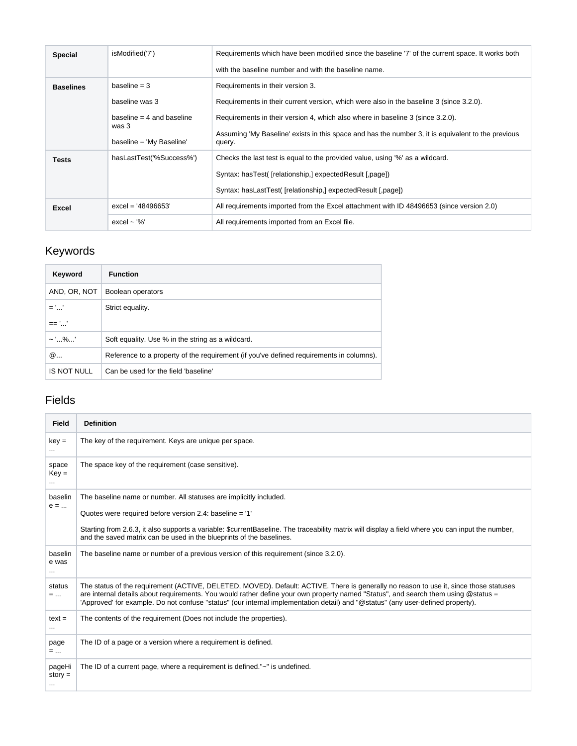| <b>Special</b>   | isModified('7')                                                                                      | Requirements which have been modified since the baseline '7' of the current space. It works both<br>with the baseline number and with the baseline name.                                                                                                                                                                      |
|------------------|------------------------------------------------------------------------------------------------------|-------------------------------------------------------------------------------------------------------------------------------------------------------------------------------------------------------------------------------------------------------------------------------------------------------------------------------|
| <b>Baselines</b> | baseline $=$ 3<br>baseline was 3<br>baseline $=$ 4 and baseline<br>was 3<br>baseline = 'My Baseline' | Requirements in their version 3.<br>Requirements in their current version, which were also in the baseline 3 (since 3.2.0).<br>Requirements in their version 4, which also where in baseline 3 (since 3.2.0).<br>Assuming 'My Baseline' exists in this space and has the number 3, it is equivalent to the previous<br>query. |
| <b>Tests</b>     | hasLastTest('%Success%')                                                                             | Checks the last test is equal to the provided value, using '%' as a wildcard.<br>Syntax: hasTest( [relationship,] expectedResult [,page])<br>Syntax: hasLastTest( [relationship,] expectedResult [,page])                                                                                                                     |
| <b>Excel</b>     | $excel = '48496653'$                                                                                 | All requirements imported from the Excel attachment with ID 48496653 (since version 2.0)                                                                                                                                                                                                                                      |
|                  | excel $\sim$ '%'                                                                                     | All requirements imported from an Excel file.                                                                                                                                                                                                                                                                                 |

## Keywords

| Keyword      | <b>Function</b>                                                                         |
|--------------|-----------------------------------------------------------------------------------------|
| AND, OR, NOT | Boolean operators                                                                       |
| $=$ ''       | Strict equality.                                                                        |
| == ''        |                                                                                         |
| $\sim$ '%'   | Soft equality. Use % in the string as a wildcard.                                       |
| @            | Reference to a property of the requirement (if you've defined requirements in columns). |
| IS NOT NULL  | Can be used for the field 'baseline'                                                    |

### Fields

| <b>Field</b>                 | <b>Definition</b>                                                                                                                                                                                                                                                                                                                                                                                              |
|------------------------------|----------------------------------------------------------------------------------------------------------------------------------------------------------------------------------------------------------------------------------------------------------------------------------------------------------------------------------------------------------------------------------------------------------------|
| $key =$                      | The key of the requirement. Keys are unique per space.                                                                                                                                                                                                                                                                                                                                                         |
| space<br>$Key =$             | The space key of the requirement (case sensitive).                                                                                                                                                                                                                                                                                                                                                             |
| baselin<br>$e = $            | The baseline name or number. All statuses are implicitly included.                                                                                                                                                                                                                                                                                                                                             |
|                              | Quotes were required before version 2.4: baseline = '1'                                                                                                                                                                                                                                                                                                                                                        |
|                              | Starting from 2.6.3, it also supports a variable: \$currentBaseline. The traceability matrix will display a field where you can input the number,<br>and the saved matrix can be used in the blueprints of the baselines.                                                                                                                                                                                      |
| baselin<br>e was<br>$\cdots$ | The baseline name or number of a previous version of this requirement (since 3.2.0).                                                                                                                                                                                                                                                                                                                           |
| status<br>$=$                | The status of the requirement (ACTIVE, DELETED, MOVED). Default: ACTIVE. There is generally no reason to use it, since those statuses<br>are internal details about requirements. You would rather define your own property named "Status", and search them using @status =<br>'Approved' for example. Do not confuse "status" (our internal implementation detail) and "@status" (any user-defined property). |
| $text =$<br>$\cdots$         | The contents of the requirement (Does not include the properties).                                                                                                                                                                                                                                                                                                                                             |
| page<br>=                    | The ID of a page or a version where a requirement is defined.                                                                                                                                                                                                                                                                                                                                                  |
| pageHi<br>$story =$          | The ID of a current page, where a requirement is defined."~" is undefined.                                                                                                                                                                                                                                                                                                                                     |